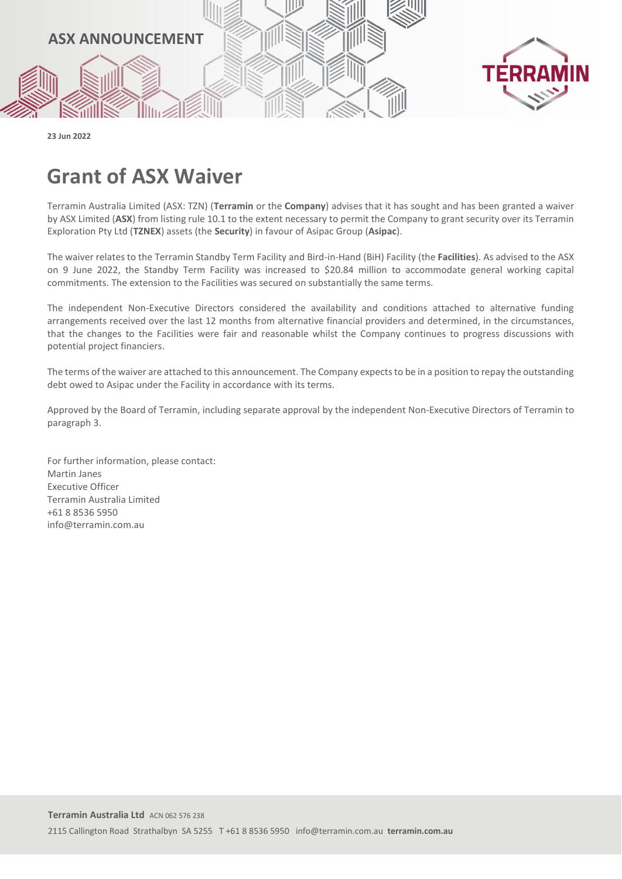

**23 Jun 2022**

## **Grant of ASX Waiver**

Terramin Australia Limited (ASX: TZN) (**Terramin** or the **Company**) advises that it has sought and has been granted a waiver by ASX Limited (**ASX**) from listing rule 10.1 to the extent necessary to permit the Company to grant security over its Terramin Exploration Pty Ltd (**TZNEX**) assets (the **Security**) in favour of Asipac Group (**Asipac**).

The waiver relates to the Terramin Standby Term Facility and Bird-in-Hand (BiH) Facility (the **Facilities**). As advised to the ASX on 9 June 2022, the Standby Term Facility was increased to \$20.84 million to accommodate general working capital commitments. The extension to the Facilities was secured on substantially the same terms.

The independent Non-Executive Directors considered the availability and conditions attached to alternative funding arrangements received over the last 12 months from alternative financial providers and determined, in the circumstances, that the changes to the Facilities were fair and reasonable whilst the Company continues to progress discussions with potential project financiers.

The terms of the waiver are attached to this announcement. The Company expects to be in a position to repay the outstanding debt owed to Asipac under the Facility in accordance with its terms.

Approved by the Board of Terramin, including separate approval by the independent Non-Executive Directors of Terramin to paragraph 3.

For further information, please contact: Martin Janes Executive Officer Terramin Australia Limited +61 8 8536 5950 info@terramin.com.au